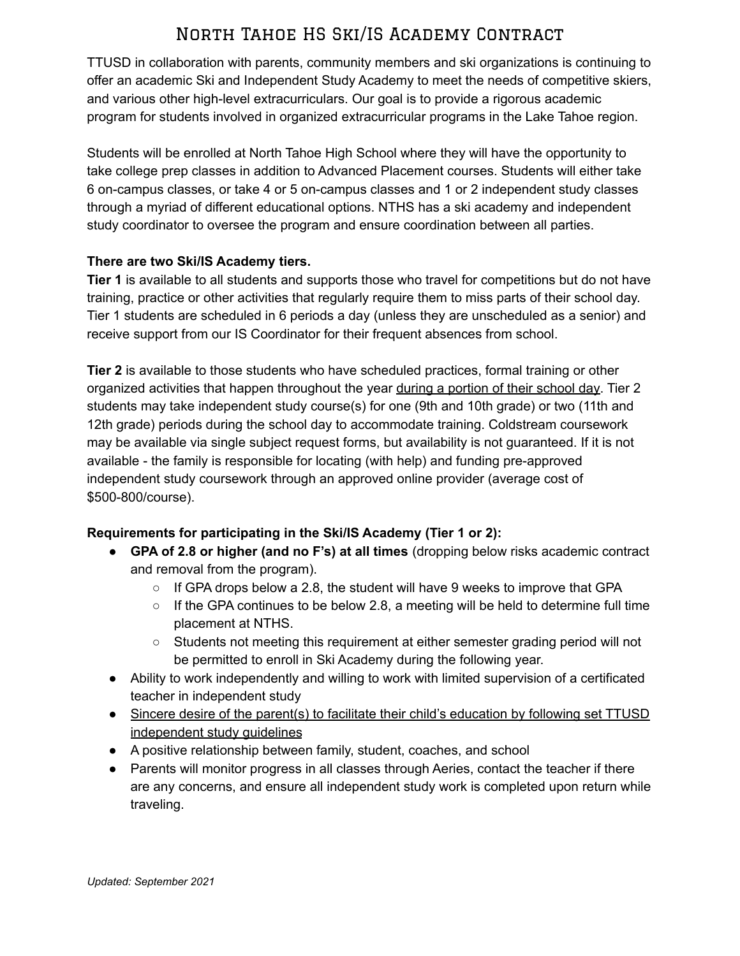TTUSD in collaboration with parents, community members and ski organizations is continuing to offer an academic Ski and Independent Study Academy to meet the needs of competitive skiers, and various other high-level extracurriculars. Our goal is to provide a rigorous academic program for students involved in organized extracurricular programs in the Lake Tahoe region.

Students will be enrolled at North Tahoe High School where they will have the opportunity to take college prep classes in addition to Advanced Placement courses. Students will either take 6 on-campus classes, or take 4 or 5 on-campus classes and 1 or 2 independent study classes through a myriad of different educational options. NTHS has a ski academy and independent study coordinator to oversee the program and ensure coordination between all parties.

#### **There are two Ski/IS Academy tiers.**

**Tier 1** is available to all students and supports those who travel for competitions but do not have training, practice or other activities that regularly require them to miss parts of their school day. Tier 1 students are scheduled in 6 periods a day (unless they are unscheduled as a senior) and receive support from our IS Coordinator for their frequent absences from school.

**Tier 2** is available to those students who have scheduled practices, formal training or other organized activities that happen throughout the year during a portion of their school day. Tier 2 students may take independent study course(s) for one (9th and 10th grade) or two (11th and 12th grade) periods during the school day to accommodate training. Coldstream coursework may be available via single subject request forms, but availability is not guaranteed. If it is not available - the family is responsible for locating (with help) and funding pre-approved independent study coursework through an approved online provider (average cost of \$500-800/course).

### **Requirements for participating in the Ski/IS Academy (Tier 1 or 2):**

- **GPA of 2.8 or higher (and no F's) at all times** (dropping below risks academic contract and removal from the program).
	- $\circ$  If GPA drops below a 2.8, the student will have 9 weeks to improve that GPA
	- $\circ$  If the GPA continues to be below 2.8, a meeting will be held to determine full time placement at NTHS.
	- Students not meeting this requirement at either semester grading period will not be permitted to enroll in Ski Academy during the following year.
- Ability to work independently and willing to work with limited supervision of a certificated teacher in independent study
- Sincere desire of the parent(s) to facilitate their child's education by following set TTUSD independent study guidelines
- A positive relationship between family, student, coaches, and school
- Parents will monitor progress in all classes through Aeries, contact the teacher if there are any concerns, and ensure all independent study work is completed upon return while traveling.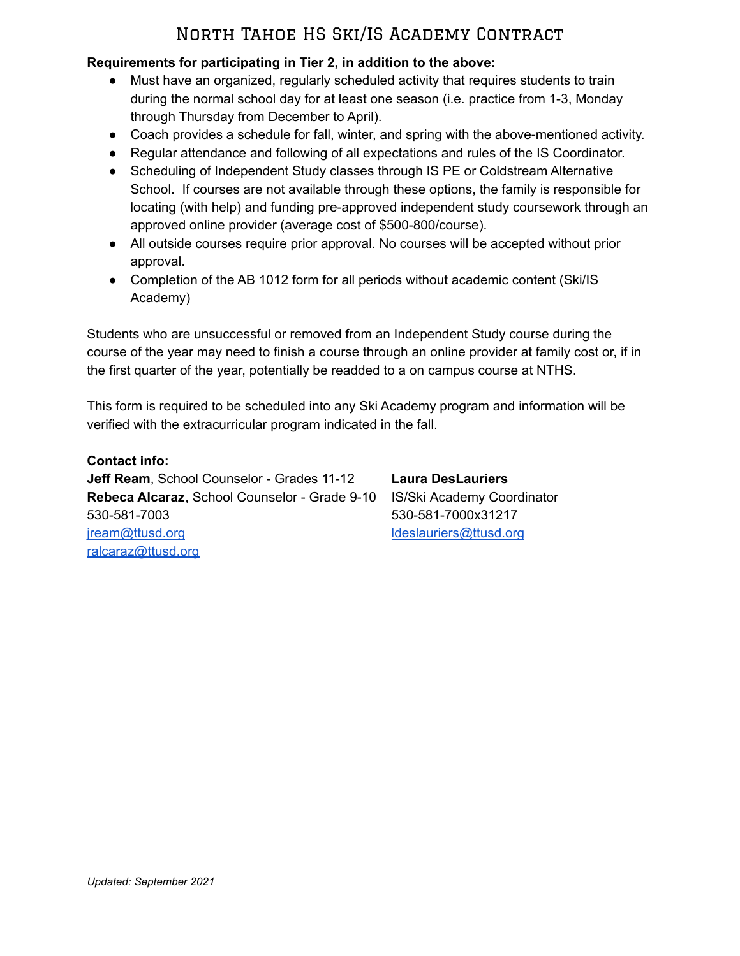### **Requirements for participating in Tier 2, in addition to the above:**

- Must have an organized, regularly scheduled activity that requires students to train during the normal school day for at least one season (i.e. practice from 1-3, Monday through Thursday from December to April).
- Coach provides a schedule for fall, winter, and spring with the above-mentioned activity.
- Regular attendance and following of all expectations and rules of the IS Coordinator.
- Scheduling of Independent Study classes through IS PE or Coldstream Alternative School. If courses are not available through these options, the family is responsible for locating (with help) and funding pre-approved independent study coursework through an approved online provider (average cost of \$500-800/course).
- All outside courses require prior approval. No courses will be accepted without prior approval.
- Completion of the AB 1012 form for all periods without academic content (Ski/IS Academy)

Students who are unsuccessful or removed from an Independent Study course during the course of the year may need to finish a course through an online provider at family cost or, if in the first quarter of the year, potentially be readded to a on campus course at NTHS.

This form is required to be scheduled into any Ski Academy program and information will be verified with the extracurricular program indicated in the fall.

**Contact info:**

**Jeff Ream**, School Counselor - Grades 11-12 **Laura DesLauriers Rebeca Alcaraz**, School Counselor - Grade 9-10 IS/Ski Academy Coordinator 530-581-7003 530-581-7000x31217 [jream@ttusd.org](mailto:jream@ttusd.org) [ldeslauriers@ttusd.org](mailto:ldeslauriers@ttusd.org) [ralcaraz@ttusd.org](mailto:ralcaraz@ttusd.org)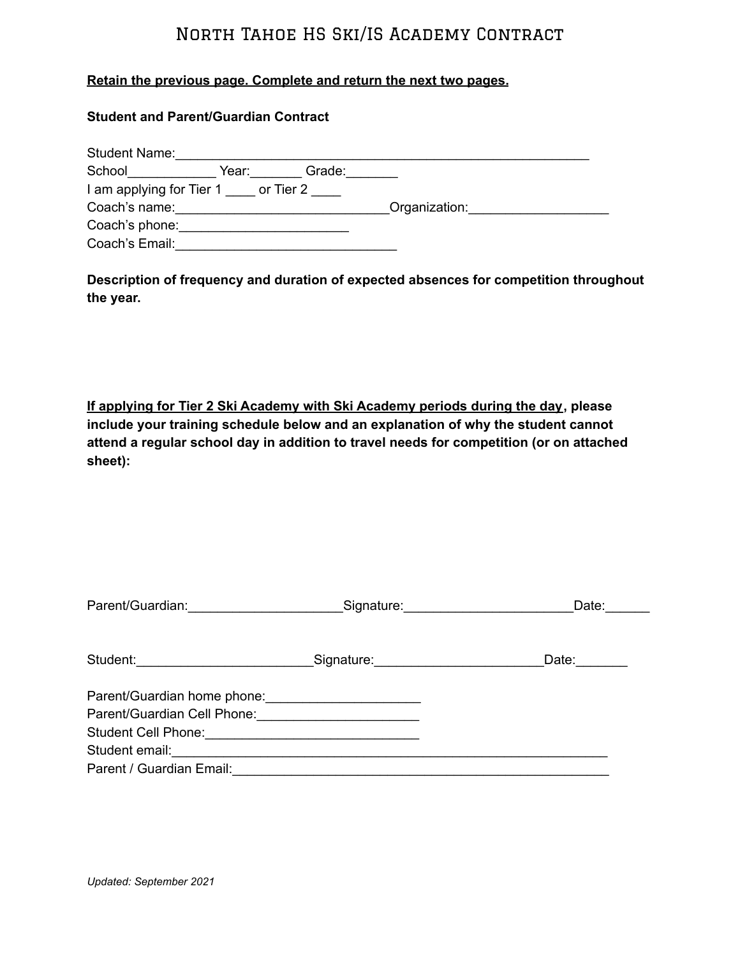#### **Retain the previous page. Complete and return the next two pages.**

#### **Student and Parent/Guardian Contract**

| <b>Student Name:</b>     |           |        |               |  |
|--------------------------|-----------|--------|---------------|--|
| School                   | Year:     | Grade: |               |  |
| I am applying for Tier 1 | or Tier 2 |        |               |  |
| Coach's name:            |           |        | Organization: |  |
| Coach's phone:           |           |        |               |  |
| Coach's Email:           |           |        |               |  |

**Description of frequency and duration of expected absences for competition throughout the year.**

**If applying for Tier 2 Ski Academy with Ski Academy periods during the day, please include your training schedule below and an explanation of why the student cannot attend a regular school day in addition to travel needs for competition (or on attached sheet):**

| Parent/Guardian: Signature: Signature:                                                                                                                                      | Date:                 |
|-----------------------------------------------------------------------------------------------------------------------------------------------------------------------------|-----------------------|
| Student: _______________________________Signature: _____________________________                                                                                            | Date: $\qquad \qquad$ |
| Parent/Guardian home phone:<br>Parent/Guardian Cell Phone: 2008. [19] Parent/Guardian Cell Phone:<br>Student email: <u>www.communications.communications.communications</u> |                       |
| Parent / Guardian Email: 2008 - 2010 - 2010 - 2010 - 2010 - 2010 - 2010 - 2010 - 2010 - 2010 - 2010 - 2010 - 20                                                             |                       |